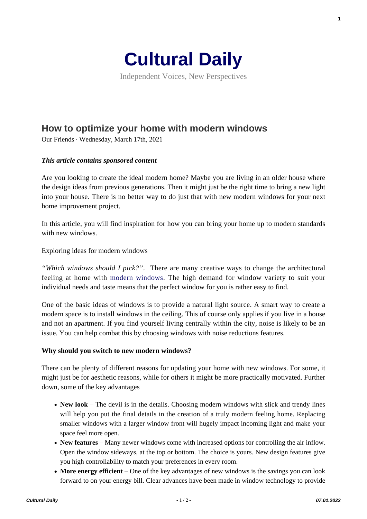

Independent Voices, New Perspectives

# **[How to optimize your home with modern windows](https://culturaldaily.com/how-to-optimize-your-home-with-modern-windows/)**

Our Friends · Wednesday, March 17th, 2021

## *This article contains sponsored content*

Are you looking to create the ideal modern home? Maybe you are living in an older house where the design ideas from previous generations. Then it might just be the right time to bring a new light into your house. There is no better way to do just that with new modern windows for your next home improvement project.

In this article, you will find inspiration for how you can bring your home up to modern standards with new windows.

Exploring ideas for modern windows

*"Which windows should I pick?"*. There are many creative ways to change the architectural feeling at home with [modern windows.](https://velfac.co.uk/domestic/windows-doors/windows-velfac-200/) The high demand for window variety to suit your individual needs and taste means that the perfect window for you is rather easy to find.

One of the basic ideas of windows is to provide a natural light source. A smart way to create a modern space is to install windows in the ceiling. This of course only applies if you live in a house and not an apartment. If you find yourself living centrally within the city, noise is likely to be an issue. You can help combat this by choosing windows with noise reductions features.

#### **Why should you switch to new modern windows?**

There can be plenty of different reasons for updating your home with new windows. For some, it might just be for aesthetic reasons, while for others it might be more practically motivated. Further down, some of the key advantages

- New look The devil is in the details. Choosing modern windows with slick and trendy lines will help you put the final details in the creation of a truly modern feeling home. Replacing smaller windows with a larger window front will hugely impact incoming light and make your space feel more open.
- **New features** Many newer windows come with increased options for controlling the air inflow. Open the window sideways, at the top or bottom. The choice is yours. New design features give you high controllability to match your preferences in every room.
- More energy efficient One of the key advantages of new windows is the savings you can look forward to on your energy bill. Clear advances have been made in window technology to provide

**1**